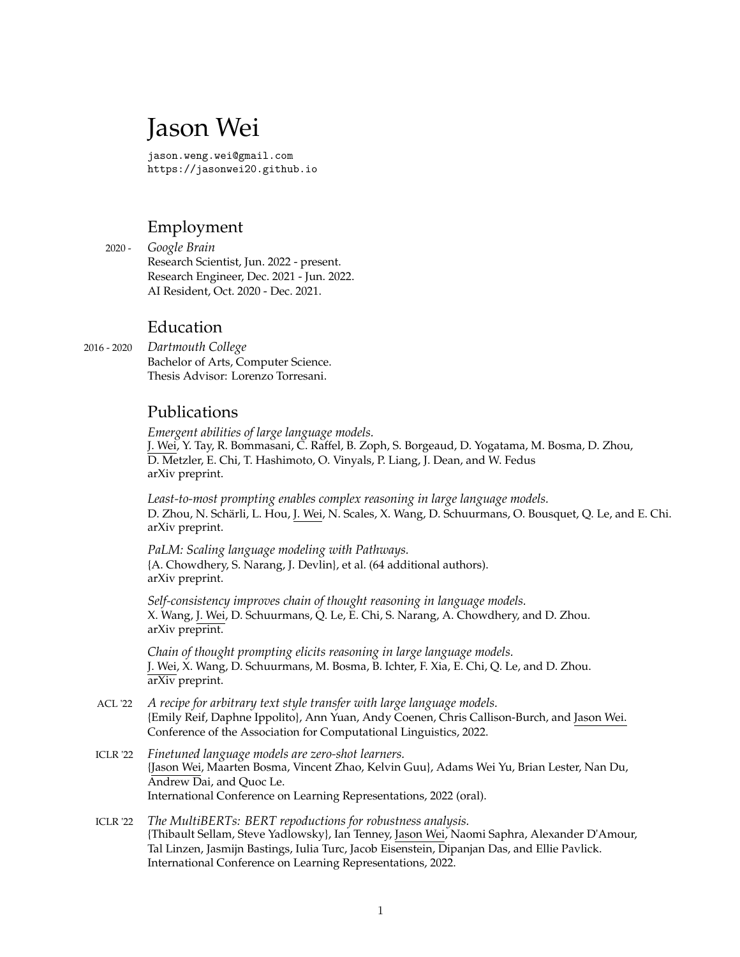# Jason Wei

jason.weng.wei@gmail.com <https://jasonwei20.github.io>

# Employment

2020 - *Google Brain* Research Scientist, Jun. 2022 - present. Research Engineer, Dec. 2021 - Jun. 2022. AI Resident, Oct. 2020 - Dec. 2021.

### Education

2016 - 2020 *Dartmouth College* Bachelor of Arts, Computer Science. Thesis Advisor: Lorenzo Torresani.

#### Publications

*Emergent abilities of large language models.* J. Wei, Y. Tay, R. Bommasani, C. Raffel, B. Zoph, S. Borgeaud, D. Yogatama, M. Bosma, D. Zhou, D. Metzler, E. Chi, T. Hashimoto, O. Vinyals, P. Liang, J. Dean, and W. Fedus arXiv preprint.

*Least-to-most prompting enables complex reasoning in large language models.* D. Zhou, N. Schärli, L. Hou, J. Wei, N. Scales, X. Wang, D. Schuurmans, O. Bousquet, Q. Le, and E. Chi. arXiv preprint.

*PaLM: Scaling language modeling with Pathways.* {A. Chowdhery, S. Narang, J. Devlin}, et al. (64 additional authors). arXiv preprint.

*Self-consistency improves chain of thought reasoning in language models.* X. Wang, J. Wei, D. Schuurmans, Q. Le, E. Chi, S. Narang, A. Chowdhery, and D. Zhou. arXiv preprint.

*Chain of thought prompting elicits reasoning in large language models.* J. Wei, X. Wang, D. Schuurmans, M. Bosma, B. Ichter, F. Xia, E. Chi, Q. Le, and D. Zhou. arXiv preprint.

- ACL '22 *A recipe for arbitrary text style transfer with large language models.* {Emily Reif, Daphne Ippolito}, Ann Yuan, Andy Coenen, Chris Callison-Burch, and Jason Wei. Conference of the Association for Computational Linguistics, 2022.
- ICLR '22 *Finetuned language models are zero-shot learners.* {Jason Wei, Maarten Bosma, Vincent Zhao, Kelvin Guu}, Adams Wei Yu, Brian Lester, Nan Du, Andrew Dai, and Quoc Le. International Conference on Learning Representations, 2022 (oral).
- ICLR '22 *The MultiBERTs: BERT repoductions for robustness analysis.* {Thibault Sellam, Steve Yadlowsky}, Ian Tenney, Jason Wei, Naomi Saphra, Alexander D'Amour, Tal Linzen, Jasmijn Bastings, Iulia Turc, Jacob Eisenstein, Dipanjan Das, and Ellie Pavlick. International Conference on Learning Representations, 2022.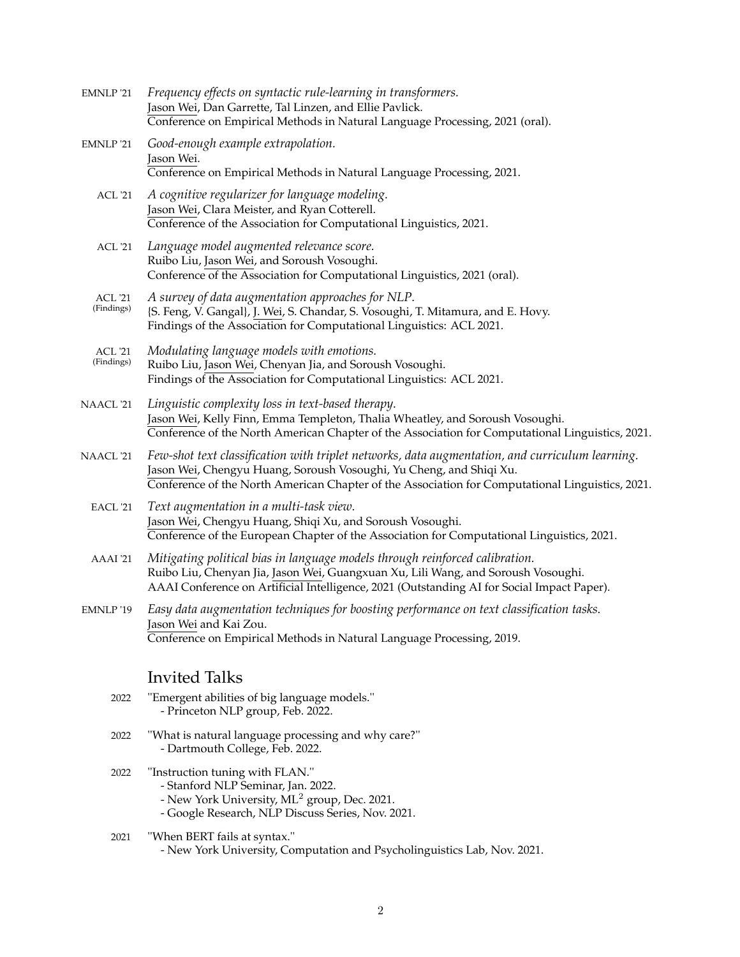| EMNLP '21                    | Frequency effects on syntactic rule-learning in transformers.<br>Jason Wei, Dan Garrette, Tal Linzen, and Ellie Pavlick.<br>Conference on Empirical Methods in Natural Language Processing, 2021 (oral).                                                                   |
|------------------------------|----------------------------------------------------------------------------------------------------------------------------------------------------------------------------------------------------------------------------------------------------------------------------|
| EMNLP '21                    | Good-enough example extrapolation.<br>Jason Wei.<br>Conference on Empirical Methods in Natural Language Processing, 2021.                                                                                                                                                  |
| <b>ACL '21</b>               | A cognitive regularizer for language modeling.<br>Jason Wei, Clara Meister, and Ryan Cotterell.<br>Conference of the Association for Computational Linguistics, 2021.                                                                                                      |
| <b>ACL '21</b>               | Language model augmented relevance score.<br>Ruibo Liu, Jason Wei, and Soroush Vosoughi.<br>Conference of the Association for Computational Linguistics, 2021 (oral).                                                                                                      |
| <b>ACL '21</b><br>(Findings) | A survey of data augmentation approaches for NLP.<br>{S. Feng, V. Gangal}, J. Wei, S. Chandar, S. Vosoughi, T. Mitamura, and E. Hovy.<br>Findings of the Association for Computational Linguistics: ACL 2021.                                                              |
| <b>ACL</b> '21<br>(Findings) | Modulating language models with emotions.<br>Ruibo Liu, Jason Wei, Chenyan Jia, and Soroush Vosoughi.<br>Findings of the Association for Computational Linguistics: ACL 2021.                                                                                              |
| NAACL '21                    | Linguistic complexity loss in text-based therapy.<br>Jason Wei, Kelly Finn, Emma Templeton, Thalia Wheatley, and Soroush Vosoughi.<br>Conference of the North American Chapter of the Association for Computational Linguistics, 2021.                                     |
| NAACL '21                    | Few-shot text classification with triplet networks, data augmentation, and curriculum learning.<br>Jason Wei, Chengyu Huang, Soroush Vosoughi, Yu Cheng, and Shiqi Xu.<br>Conference of the North American Chapter of the Association for Computational Linguistics, 2021. |
| EACL '21                     | Text augmentation in a multi-task view.<br>Jason Wei, Chengyu Huang, Shiqi Xu, and Soroush Vosoughi.<br>Conference of the European Chapter of the Association for Computational Linguistics, 2021.                                                                         |
| AAAI '21                     | Mitigating political bias in language models through reinforced calibration.<br>Ruibo Liu, Chenyan Jia, Jason Wei, Guangxuan Xu, Lili Wang, and Soroush Vosoughi.<br>AAAI Conference on Artificial Intelligence, 2021 (Outstanding AI for Social Impact Paper).            |
| EMNLP '19                    | Easy data augmentation techniques for boosting performance on text classification tasks.<br>Jason Wei and Kai Zou.<br>Conference on Empirical Methods in Natural Language Processing, 2019.                                                                                |
|                              | <b>Invited Talks</b>                                                                                                                                                                                                                                                       |
| 2022                         | "Emergent abilities of big language models."<br>- Princeton NLP group, Feb. 2022.                                                                                                                                                                                          |
| 2022                         | "What is natural language processing and why care?"<br>- Dartmouth College, Feb. 2022.                                                                                                                                                                                     |
| 2022                         | "Instruction tuning with FLAN."<br>- Stanford NLP Seminar, Jan. 2022.<br>- New York University, ML <sup>2</sup> group, Dec. 2021.<br>- Google Research, NLP Discuss Series, Nov. 2021.                                                                                     |

- 2021 ''When BERT fails at syntax.''
	- New York University, Computation and Psycholinguistics Lab, Nov. 2021.